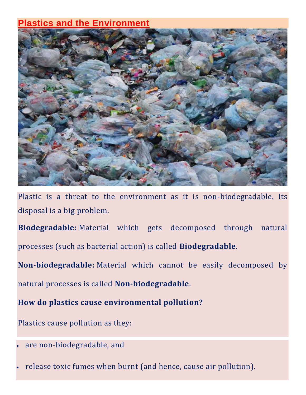## **Plastics and the Environment**



Plastic is a threat to the environment as it is non-biodegradable. Its disposal is a big problem.

**Biodegradable:** Material which gets decomposed through natural processes (such as bacterial action) is called **Biodegradable**.

**Non-biodegradable:** Material which cannot be easily decomposed by natural processes is called **Non-biodegradable**.

**How do plastics cause environmental pollution?**

Plastics cause pollution as they:

- are non-biodegradable, and
- release toxic fumes when burnt (and hence, cause air pollution).